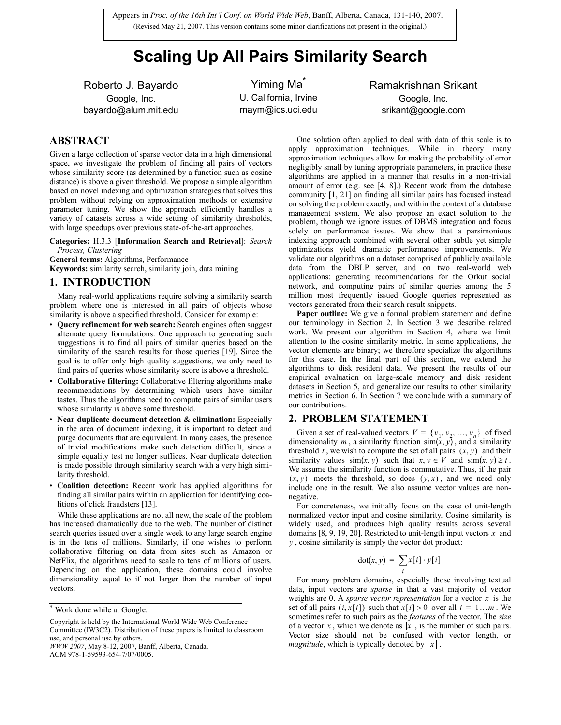Appears in *Proc. of the 16th Int'l Conf. on World Wide Web*, Banff, Alberta, Canada, 131-140, 2007. (Revised May 21, 2007. This version contains some minor clarifications not present in the original.)

# **Scaling Up All Pairs Similarity Search**

Roberto J. Bayardo Google, Inc. bayardo@alum.mit.edu

Yiming Ma U. California, Irvine maym@ics.uci.edu Ramakrishnan Srikant Google, Inc. srikant@google.com

# **ABSTRACT**

Given a large collection of sparse vector data in a high dimensional space, we investigate the problem of finding all pairs of vectors whose similarity score (as determined by a function such as cosine distance) is above a given threshold. We propose a simple algorithm based on novel indexing and optimization strategies that solves this problem without relying on approximation methods or extensive parameter tuning. We show the approach efficiently handles a variety of datasets across a wide setting of similarity thresholds, with large speedups over previous state-of-the-art approaches.

**Categories:** H.3.3 [**Information Search and Retrieval**]: *Search Process, Clustering*

**General terms:** Algorithms, Performance

**Keywords:** similarity search, similarity join, data mining

# **1. INTRODUCTION**

Many real-world applications require solving a similarity search problem where one is interested in all pairs of objects whose similarity is above a specified threshold. Consider for example:

- **Query refinement for web search:** Search engines often suggest alternate query formulations. One approach to generating such suggestions is to find all pairs of similar queries based on the similarity of the search results for those queries [\[19\]](#page-9-0). Since the goal is to offer only high quality suggestions, we only need to find pairs of queries whose similarity score is above a threshold.
- **Collaborative filtering:** Collaborative filtering algorithms make recommendations by determining which users have similar tastes. Thus the algorithms need to compute pairs of similar users whose similarity is above some threshold.
- **Near duplicate document detection & elimination:** Especially in the area of document indexing, it is important to detect and purge documents that are equivalent. In many cases, the presence of trivial modifications make such detection difficult, since a simple equality test no longer suffices. Near duplicate detection is made possible through similarity search with a very high similarity threshold.
- **Coalition detection:** Recent work has applied algorithms for finding all similar pairs within an application for identifying coalitions of click fraudsters [\[13\]](#page-9-7).

While these applications are not all new, the scale of the problem has increased dramatically due to the web. The number of distinct search queries issued over a single week to any large search engine is in the tens of millions. Similarly, if one wishes to perform collaborative filtering on data from sites such as Amazon or NetFlix, the algorithms need to scale to tens of millions of users. Depending on the application, these domains could involve dimensionality equal to if not larger than the number of input vectors.

*WWW 2007*, May 8-12, 2007, Banff, Alberta, Canada.

ACM 978-1-59593-654-7/07/0005.

One solution often applied to deal with data of this scale is to apply approximation techniques. While in theory many approximation techniques allow for making the probability of error negligibly small by tuning appropriate parameters, in practice these algorithms are applied in a manner that results in a non-trivial amount of error (e.g. see [[4](#page-9-1), [8\]](#page-9-2).) Recent work from the database community [[1](#page-9-5), [21](#page-9-6)] on finding all similar pairs has focused instead on solving the problem exactly, and within the context of a database management system. We also propose an exact solution to the problem, though we ignore issues of DBMS integration and focus solely on performance issues. We show that a parsimonious indexing approach combined with several other subtle yet simple optimizations yield dramatic performance improvements. We validate our algorithms on a dataset comprised of publicly available data from the DBLP server, and on two real-world web applications: generating recommendations for the Orkut social network, and computing pairs of similar queries among the 5 million most frequently issued Google queries represented as vectors generated from their search result snippets.

**Paper outline:** We give a formal problem statement and define our terminology in [Section 2](#page-0-0). In [Section 3](#page-1-0) we describe related work. We present our algorithm in [Section 4](#page-1-1), where we limit attention to the cosine similarity metric. In some applications, the vector elements are binary; we therefore specialize the algorithms for this case. In the final part of this section, we extend the algorithms to disk resident data. We present the results of our empirical evaluation on large-scale memory and disk resident datasets in [Section 5](#page-5-0), and generalize our results to other similarity metrics in [Section 6](#page-8-0). In [Section 7](#page-8-1) we conclude with a summary of our contributions.

# <span id="page-0-0"></span>**2. PROBLEM STATEMENT**

Given a set of real-valued vectors  $V = \{v_1, v_2, ..., v_n\}$  of fixed dimensionality *m*, a similarity function  $\sin(x, y)$ , and a similarity threshold  $t$ , we wish to compute the set of all pairs  $(x, y)$  and their similarity values  $\sin(x, y)$  such that  $x, y \in V$  and  $\sin(x, y) \ge t$ . We assume the similarity function is commutative. Thus, if the pair  $(x, y)$  meets the threshold, so does  $(y, x)$ , and we need only include one in the result. We also assume vector values are nonnegative.

For concreteness, we initially focus on the case of unit-length normalized vector input and cosine similarity. Cosine similarity is widely used, and produces high quality results across several domains [[8](#page-9-2), [9,](#page-9-3) [19](#page-9-0), [20\]](#page-9-4). Restricted to unit-length input vectors *x* and *y* , cosine similarity is simply the vector dot product:

$$
dot(x, y) = \sum_i x[i] \cdot y[i]
$$

For many problem domains, especially those involving textual data, input vectors are *sparse* in that a vast majority of vector weights are 0. A *sparse vector representation* for a vector *x* is the set of all pairs  $(i, x[i])$  such that  $x[i] > 0$  over all  $i = 1...m$ . We sometimes refer to such pairs as the *features* of the vector. The *size*  of a vector *x*, which we denote as  $|x|$ , is the number of such pairs. Vector size should not be confused with vector length, or *magnitude*, which is typically denoted by  $||x||$ .

<sup>\*</sup> Work done while at Google.

Copyright is held by the International World Wide Web Conference Committee (IW3C2). Distribution of these papers is limited to classroom use, and personal use by others.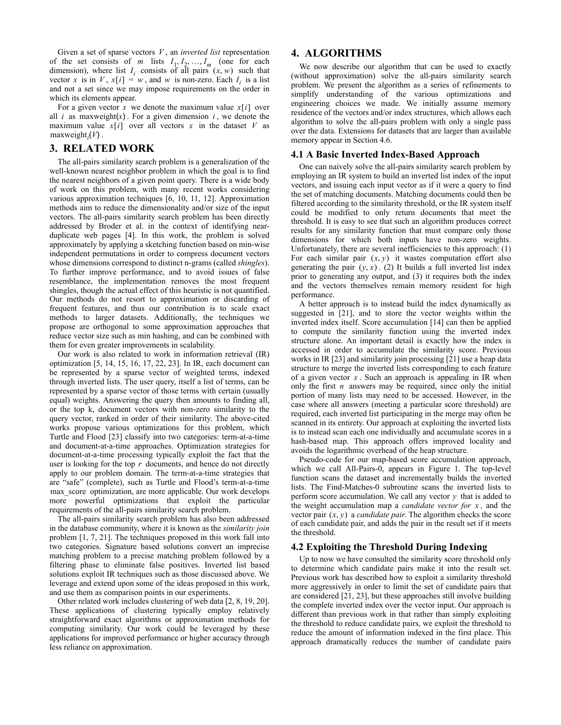Given a set of sparse vectors *V* , an *inverted list* representation of the set consists of *m* lists  $I_1, I_2, ..., I_m$  (one for each dimension), where list  $I_i$  consists of all pairs  $(x, w)$  such that vector *x* is in *V*,  $x[i] = w$ , and *w* is non-zero. Each *I<sub>i</sub>* is a list and not a set since we may impose requirements on the order in which its elements appear.

For a given vector  $x$  we denote the maximum value  $x[i]$  over all *i* as maxweight(x). For a given dimension *i*, we denote the maximum value  $x[i]$  over all vectors  $x$  in the dataset  $V$  as  $maxweight_i(V)$ .

# <span id="page-1-0"></span>**3. RELATED WORK**

The all-pairs similarity search problem is a generalization of the well-known nearest neighbor problem in which the goal is to find the nearest neighbors of a given point query. There is a wide body of work on this problem, with many recent works considering various approximation techniques [[6](#page-9-8), [10,](#page-9-9) [11,](#page-9-19) [12\]](#page-9-10). Approximation methods aim to reduce the dimensionality and/or size of the input vectors. The all-pairs similarity search problem has been directly addressed by Broder et al. in the context of identifying nearduplicate web pages [\[4\]](#page-9-1). In this work, the problem is solved approximately by applying a sketching function based on min-wise independent permutations in order to compress document vectors whose dimensions correspond to distinct n-grams (called *shingles*). To further improve performance, and to avoid issues of false resemblance, the implementation removes the most frequent shingles, though the actual effect of this heuristic is not quantified. Our methods do not resort to approximation or discarding of frequent features, and thus our contribution is to scale exact methods to larger datasets. Additionally, the techniques we propose are orthogonal to some approximation approaches that reduce vector size such as min hashing, and can be combined with them for even greater improvements in scalability.

Our work is also related to work in information retrieval (IR) optimization [\[5,](#page-9-11) [14](#page-9-12), [15](#page-9-13), [16](#page-9-14), [17](#page-9-15), [22,](#page-9-16) [23\]](#page-9-17). In IR, each document can be represented by a sparse vector of weighted terms, indexed through inverted lists. The user query, itself a list of terms, can be represented by a sparse vector of those terms with certain (usually equal) weights. Answering the query then amounts to finding all, or the top k, document vectors with non-zero similarity to the query vector, ranked in order of their similarity. The above-cited works propose various optimizations for this problem, which Turtle and Flood [\[23\]](#page-9-17) classify into two categories: term-at-a-time and document-at-a-time approaches. Optimization strategies for document-at-a-time processing typically exploit the fact that the user is looking for the top  $r$  documents, and hence do not directly apply to our problem domain. The term-at-a-time strategies that are "safe" (complete), such as Turtle and Flood's term-at-a-time max score optimization, are more applicable. Our work develops more powerful optimizations that exploit the particular requirements of the all-pairs similarity search problem.

The all-pairs similarity search problem has also been addressed in the database community, where it is known as the *similarity join* problem [[1](#page-9-5), [7,](#page-9-20) [21\]](#page-9-6). The techniques proposed in this work fall into two categories. Signature based solutions convert an imprecise matching problem to a precise matching problem followed by a filtering phase to eliminate false positives. Inverted list based solutions exploit IR techniques such as those discussed above. We leverage and extend upon some of the ideas proposed in this work, and use them as comparison points in our experiments.

Other related work includes clustering of web data [\[2,](#page-9-18) [8](#page-9-2), [19,](#page-9-0) [20](#page-9-4)]. These applications of clustering typically employ relatively straightforward exact algorithms or approximation methods for computing similarity. Our work could be leveraged by these applications for improved performance or higher accuracy through less reliance on approximation.

# <span id="page-1-1"></span>**4. ALGORITHMS**

We now describe our algorithm that can be used to exactly (without approximation) solve the all-pairs similarity search problem. We present the algorithm as a series of refinements to simplify understanding of the various optimizations and engineering choices we made. We initially assume memory residence of the vectors and/or index structures, which allows each algorithm to solve the all-pairs problem with only a single pass over the data. Extensions for datasets that are larger than available memory appear in [Section 4.6.](#page-5-1)

## **4.1 A Basic Inverted Index-Based Approach**

One can naively solve the all-pairs similarity search problem by employing an IR system to build an inverted list index of the input vectors, and issuing each input vector as if it were a query to find the set of matching documents. Matching documents could then be filtered according to the similarity threshold, or the IR system itself could be modified to only return documents that meet the threshold. It is easy to see that such an algorithm produces correct results for any similarity function that must compare only those dimensions for which both inputs have non-zero weights. Unfortunately, there are several inefficiencies to this approach: (1) For each similar pair  $(x, y)$  it wastes computation effort also generating the pair  $(y, x)$ . (2) It builds a full inverted list index prior to generating any output, and (3) it requires both the index and the vectors themselves remain memory resident for high performance.

A better approach is to instead build the index dynamically as suggested in [\[21\],](#page-9-6) and to store the vector weights within the inverted index itself. Score accumulation [\[14\]](#page-9-12) can then be applied to compute the similarity function using the inverted index structure alone. An important detail is exactly how the index is accessed in order to accumulate the similarity score. Previous works in IR [\[23\]](#page-9-17) and similarity join processing [\[21\]](#page-9-6) use a heap data structure to merge the inverted lists corresponding to each feature of a given vector  $x$ . Such an approach is appealing in IR when only the first  $n$  answers may be required, since only the initial portion of many lists may need to be accessed. However, in the case where all answers (meeting a particular score threshold) are required, each inverted list participating in the merge may often be scanned in its entirety. Our approach at exploiting the inverted lists is to instead scan each one individually and accumulate scores in a hash-based map. This approach offers improved locality and avoids the logarithmic overhead of the heap structure.

Pseudo-code for our map-based score accumulation approach, which we call All-Pairs-0, appears in [Figure 1](#page-2-0). The top-level function scans the dataset and incrementally builds the inverted lists. The Find-Matches-0 subroutine scans the inverted lists to perform score accumulation. We call any vector  $y$  that is added to the weight accumulation map a *candidate vector for x ,* and the vector pair  $(x, y)$  a *candidate pair*. The algorithm checks the score of each candidate pair, and adds the pair in the result set if it meets the threshold.

# **4.2 Exploiting the Threshold During Indexing**

Up to now we have consulted the similarity score threshold only to determine which candidate pairs make it into the result set. Previous work has described how to exploit a similarity threshold more aggressively in order to limit the set of candidate pairs that are considered [\[21](#page-9-6), [23\]](#page-9-17), but these approaches still involve building the complete inverted index over the vector input. Our approach is different than previous work in that rather than simply exploiting the threshold to reduce candidate pairs, we exploit the threshold to reduce the amount of information indexed in the first place. This approach dramatically reduces the number of candidate pairs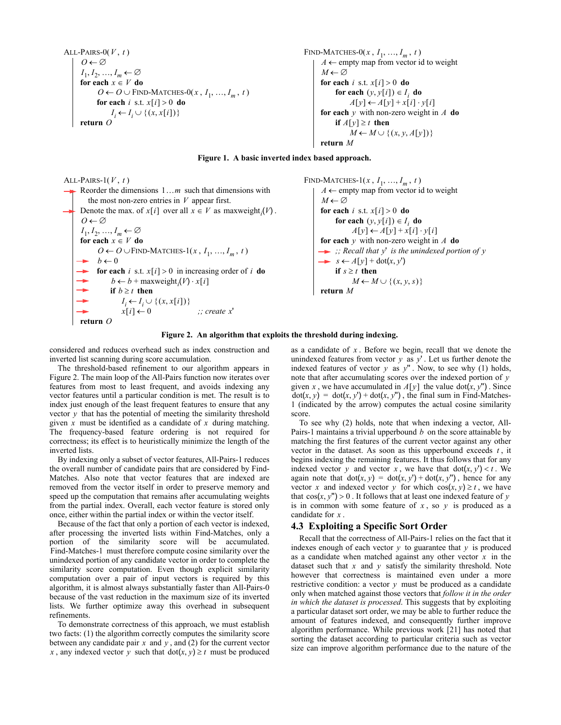ALL-PAIRS-0(*V*, *t*)  
\n
$$
\begin{array}{l}\nO \leftarrow \varnothing \\
I_1, I_2, ..., I_m \leftarrow \varnothing \\
\text{for each } x \in V \text{ do} \\
O \leftarrow O \cup \text{FIND-MATCHES-0}(x, I_1, ..., I_m, t) \\
\text{for each } i \text{ s.t. } x[i] > 0 \text{ do} \\
I_i \leftarrow I_i \cup \{(x, x[i])\} \\
\text{return } O\n\end{array}
$$

FIND-MATCHES- $0(x, I_1, ..., I_m, t)$ **for each** *i* s.t.  $x[i] > 0$  **do for each**  $(y, y[i]) \in I_i$  **do** for each y with non-zero weight in  $A$  do **if**  $A[y] \ge t$  **then return** *M*  $A \leftarrow$  empty map from vector id to weight *M* ← ∅  $A[y] \leftarrow A[y] + x[i] \cdot y[i]$  $M \leftarrow M \cup \{(x, y, A[y])\}$ 

#### **Figure 1. A basic inverted index based approach.**

<span id="page-2-0"></span>

FIND-MATCHES-1(x, *I*<sub>1</sub>, …, *I*<sub>m</sub>, *t*)

\n
$$
A \leftarrow \text{empty map from vector id to weight}
$$
\n
$$
M \leftarrow \emptyset
$$
\nfor each *i* s.t. *x*[*i*] > 0 *d***o**

\nfor each *(y, y[i])* ∈ *I*<sub>i</sub> *d***o**

\n
$$
A[y] \leftarrow A[y] + x[i] \cdot y[i]
$$
\nfor each *y* with non-zero weight in *A d***o**

\n∴ Recall that *y'* is the unindexed portion of *y*

\n⇒ *s* ← *A*[*y*] + dot(*x, y'*)

\nif *s* ≥ *t* then

\n
$$
M \leftarrow M \cup \{(x, y, s)\}
$$
\nreturn *M*

#### **Figure 2. An algorithm that exploits the threshold during indexing.**

<span id="page-2-1"></span>considered and reduces overhead such as index construction and inverted list scanning during score accumulation.

The threshold-based refinement to our algorithm appears in [Figure 2](#page-2-1). The main loop of the All-Pairs function now iterates over features from most to least frequent, and avoids indexing any vector features until a particular condition is met. The result is to index just enough of the least frequent features to ensure that any vector  $y$  that has the potential of meeting the similarity threshold given *x* must be identified as a candidate of *x* during matching. The frequency-based feature ordering is not required for correctness; its effect is to heuristically minimize the length of the inverted lists.

By indexing only a subset of vector features, All-Pairs-1 reduces the overall number of candidate pairs that are considered by Find-Matches. Also note that vector features that are indexed are removed from the vector itself in order to preserve memory and speed up the computation that remains after accumulating weights from the partial index. Overall, each vector feature is stored only once, either within the partial index or within the vector itself.

Because of the fact that only a portion of each vector is indexed, after processing the inverted lists within Find-Matches, only a portion of the similarity score will be accumulated. Find-Matches-1 must therefore compute cosine similarity over the unindexed portion of any candidate vector in order to complete the similarity score computation. Even though explicit similarity computation over a pair of input vectors is required by this algorithm, it is almost always substantially faster than All-Pairs-0 because of the vast reduction in the maximum size of its inverted lists. We further optimize away this overhead in subsequent refinements.

To demonstrate correctness of this approach, we must establish two facts: (1) the algorithm correctly computes the similarity score between any candidate pair  $x$  and  $y$ , and (2) for the current vector *x*, any indexed vector *y* such that  $dot(x, y) \ge t$  must be produced

as a candidate of *x* . Before we begin, recall that we denote the unindexed features from vector  $y$  as  $y'$ . Let us further denote the indexed features of vector  $y$  as  $y''$ . Now, to see why (1) holds, note that after accumulating scores over the indexed portion of *y* given *x*, we have accumulated in  $A[y]$  the value dot(*x*, *y*"). Since  $dot(x, y) = dot(x, y') + dot(x, y'')$ , the final sum in Find-Matches-1 (indicated by the arrow) computes the actual cosine similarity score.

To see why (2) holds, note that when indexing a vector, All-Pairs-1 maintains a trivial upperbound *b* on the score attainable by matching the first features of the current vector against any other vector in the dataset. As soon as this upperbound exceeds  $t$ , it begins indexing the remaining features. It thus follows that for any indexed vector *y* and vector *x*, we have that  $dot(x, y') < t$ . We again note that  $dot(x, y) = dot(x, y') + dot(x, y'')$ , hence for any vector *x* and indexed vector *y* for which  $\cos(x, y) \ge t$ , we have that  $cos(x, y'') > 0$ . It follows that at least one indexed feature of *y* is in common with some feature of  $x$ , so  $y$  is produced as a candidate for *x* .

## **4.3 Exploiting a Specific Sort Order**

Recall that the correctness of All-Pairs-1 relies on the fact that it indexes enough of each vector  $y$  to guarantee that  $y$  is produced as a candidate when matched against any other vector  $x$  in the dataset such that  $x$  and  $y$  satisfy the similarity threshold. Note however that correctness is maintained even under a more restrictive condition: a vector *y* must be produced as a candidate only when matched against those vectors that *follow it in the order in which the dataset is processed*. This suggests that by exploiting a particular dataset sort order, we may be able to further reduce the amount of features indexed, and consequently further improve algorithm performance. While previous work [\[21\]](#page-9-6) has noted that sorting the dataset according to particular criteria such as vector size can improve algorithm performance due to the nature of the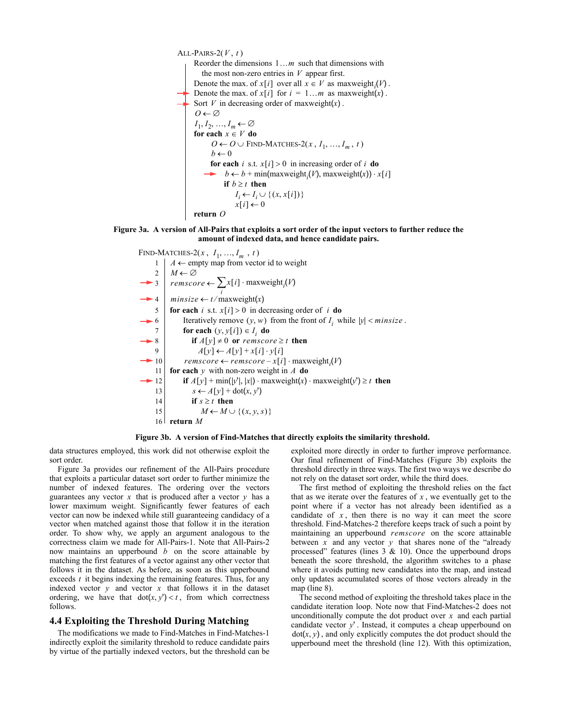$ALL$ -Pairs-2( $V, t$ ) Reorder the dimensions  $1...m$  such that dimensions with the most non-zero entries in  $V$  appear first. Denote the max. of  $x[i]$  over all  $x \in V$  as maxweight<sub>i</sub> $(V)$ . Denote the max. of  $x[i]$  for  $i = 1...m$  as maxweight(x). Sort V in decreasing order of maxweight $(x)$ . **for each**  $x \in V$  **do**  $O \leftarrow O \cup$  FIND-MATCHES-2(*x*, *I*<sub>1</sub>, ..., *I*<sub>*m*</sub>, *t*) **for each** *i* s.t.  $x[i] > 0$  in increasing order of *i* **do if**  $b \ge t$  **then return**  *O O* ← ∅  $I_1, I_2, \ldots, I_m \leftarrow \emptyset$  $b \leftarrow 0$  $b \leftarrow b$  + min(maxweight*i*(*V*), maxweight(*x*)) · *x*[*i*]  $I_i \leftarrow I_i \cup \{(x, x[i])\}$  $x[i] \leftarrow 0$ 

#### <span id="page-3-0"></span>**Figure 3a. A version of All-Pairs that exploits a sort order of the input vectors to further reduce the amount of indexed data, and hence candidate pairs.**

 $\text{FIND-MATCHES-2}(x, I_1, ..., I_m, t)$ 1 2  $\rightarrow$  3  $\rightarrow$  4 5 **for each** i s.t.  $x[i] > 0$  in decreasing order of i **do** 6 Iteratively remove  $(y, w)$  from the front of  $I_i$  while  $|y| < \text{minsize}$ . 7 **for each**  $(y, y[i]) \in I_i$  **do** 8 **if**  $A[y] \neq 0$  or remscore  $\geq t$  then  $\mathbf Q$  $\rightarrow 10$ 11 **for each** y with non-zero weight in  $\vec{A}$  do 12 **if**  $A[y] + min(y', |x|)$  maxweight(x) maxweight(y') ≥ *t* then 13 14 **if**  $s \ge t$  **then** 15 16 **return** *M*  $A \leftarrow$  empty map from vector id to weight  $M \leftarrow \varnothing$ *remscore x i*[ ] maxweight*<sup>i</sup>* ⋅ ( ) *V i* <sup>←</sup> ∑  $$  $A[y] \leftarrow A[y] + x[i] \cdot y[i]$  $remove \leftarrow remove - x[i] \cdot maxweight_i(V)$  $s \leftarrow A[y] + \text{dot}(x, y')$  $M$  ←  $M$   $\cup$  {(x, y, s)}

#### <span id="page-3-1"></span>**Figure 3b. A version of Find-Matches that directly exploits the similarity threshold.**

data structures employed, this work did not otherwise exploit the sort order.

[Figure 3a](#page-3-0) provides our refinement of the All-Pairs procedure that exploits a particular dataset sort order to further minimize the number of indexed features. The ordering over the vectors guarantees any vector  $x$  that is produced after a vector  $y$  has a lower maximum weight. Significantly fewer features of each vector can now be indexed while still guaranteeing candidacy of a vector when matched against those that follow it in the iteration order. To show why, we apply an argument analogous to the correctness claim we made for All-Pairs-1. Note that All-Pairs-2 now maintains an upperbound *b* on the score attainable by matching the first features of a vector against any other vector that follows it in the dataset. As before, as soon as this upperbound exceeds *t* it begins indexing the remaining features. Thus, for any indexed vector  $y$  and vector  $x$  that follows it in the dataset ordering, we have that  $dot(x, y') < t$ , from which correctness follows.

#### **4.4 Exploiting the Threshold During Matching**

The modifications we made to Find-Matches in Find-Matches-1 indirectly exploit the similarity threshold to reduce candidate pairs by virtue of the partially indexed vectors, but the threshold can be exploited more directly in order to further improve performance. Our final refinement of Find-Matches ([Figure 3](#page-3-1)b) exploits the threshold directly in three ways. The first two ways we describe do not rely on the dataset sort order, while the third does.

The first method of exploiting the threshold relies on the fact that as we iterate over the features of  $x$ , we eventually get to the point where if a vector has not already been identified as a candidate of  $x$ , then there is no way it can meet the score threshold. Find-Matches-2 therefore keeps track of such a point by maintaining an upperbound *remscore* on the score attainable between  $x$  and any vector  $y$  that shares none of the "already" processed" features (lines  $3 \& 10$ ). Once the upperbound drops beneath the score threshold, the algorithm switches to a phase where it avoids putting new candidates into the map, and instead only updates accumulated scores of those vectors already in the map (line 8).

The second method of exploiting the threshold takes place in the candidate iteration loop. Note now that Find-Matches-2 does not unconditionally compute the dot product over *x* and each partial candidate vector *y*' . Instead, it computes a cheap upperbound on  $dot(x, y)$ , and only explicitly computes the dot product should the upperbound meet the threshold (line 12). With this optimization,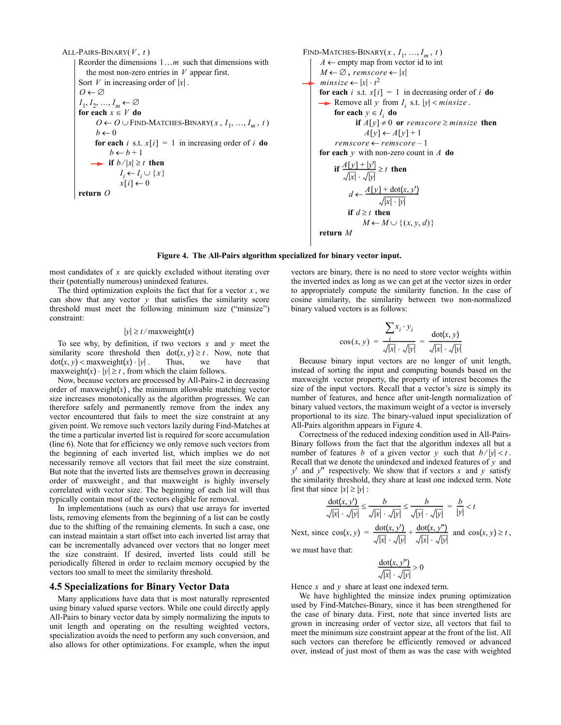$ALL$ -Pairs-Binary( $V, t$ ) Reorder the dimensions  $1...m$  such that dimensions with the most non-zero entries in  $V$  appear first. Sort V in increasing order of  $|x|$ . **for each**  $x \in V$  **do**  $O ← O ∪$  FIND-MATCHES-BINARY( $x$ ,  $I_1$ , ...,  $I_m$ ,  $t$ ) **for each** *i* s.t.  $x[i] = 1$  in increasing order of *i* **do if**  $b / |x| \ge t$  **then return**  *O O* ← ∅  $I_1, I_2, ..., I_m \leftarrow \emptyset$  $b \leftarrow 0$  $b \leftarrow b + 1$  $I_i \leftarrow I_i \cup \{x\}$  $x[i] \leftarrow 0$ 

$$
FIND-MATCHES-BINARY(x, I1, ..., Im, t)
$$
\n
$$
A ← empty map from vector id to int
$$
\n
$$
M ← ∅, \text{ remscore ← |x|}
$$
\n
$$
\text{ minsize ← |x| · t2
$$
\n
$$
\text{ for each } i \text{ s.t. } x[i] = 1 \text{ in decreasing order of } i \text{ do}
$$
\n
$$
= \text{Remove all } y \text{ from } Ii \text{ s.t. } |y| < \text{ minsize }.
$$
\n
$$
\text{ for each } y \in Ii \text{ do}
$$
\n
$$
\text{ if } A[y] ≠ 0 \text{ or } \text{ remscore } \geq \text{ minsize } \text{ then}
$$
\n
$$
A[y] ← A[y] + 1
$$
\n
$$
\text{ remscore ← \text{ remscore } - 1}
$$
\n
$$
\text{ for each } y \text{ with non-zero count in } A \text{ do}
$$
\n
$$
\text{ if } \frac{A[y] + y'}{\sqrt{|x|} \cdot \sqrt{|y|}} \geq t \text{ then}
$$
\n
$$
d ← \frac{A[y] + \text{dot}(x, y')}{\sqrt{|x| \cdot |y|}}
$$
\n
$$
\text{ if } d \geq t \text{ then}
$$
\n
$$
M ← M ∪ \{(x, y, d)\}
$$
\n
$$
\text{ return } M
$$

#### <span id="page-4-0"></span>**Figure 4. The All-Pairs algorithm specialized for binary vector input.**

most candidates of *x* are quickly excluded without iterating over their (potentially numerous) unindexed features.

The third optimization exploits the fact that for a vector  $x$ , we can show that any vector *y* that satisfies the similarity score threshold must meet the following minimum size ("minsize") constraint:

# $|y| \ge t$ / maxweight(x)

To see why, by definition, if two vectors *x* and *y* meet the similarity score threshold then  $dot(x, y) \ge t$ . Now, note that  $dot(x, y)$  < maxweight(x) · |y| . Thus, we have that maxweight(x)  $\cdot |y| \ge t$ , from which the claim follows.

Now, because vectors are processed by All-Pairs-2 in decreasing order of maxweight $(x)$ , the minimum allowable matching vector size increases monotonically as the algorithm progresses. We can therefore safely and permanently remove from the index any vector encountered that fails to meet the size constraint at any given point. We remove such vectors lazily during Find-Matches at the time a particular inverted list is required for score accumulation (line 6). Note that for efficiency we only remove such vectors from the beginning of each inverted list, which implies we do not necessarily remove all vectors that fail meet the size constraint. But note that the inverted lists are themselves grown in decreasing order of maxweight , and that maxweight is highly inversely correlated with vector size. The beginning of each list will thus typically contain most of the vectors eligible for removal.

In implementations (such as ours) that use arrays for inverted lists, removing elements from the beginning of a list can be costly due to the shifting of the remaining elements. In such a case, one can instead maintain a start offset into each inverted list array that can be incrementally advanced over vectors that no longer meet the size constraint. If desired, inverted lists could still be periodically filtered in order to reclaim memory occupied by the vectors too small to meet the similarity threshold.

#### **4.5 Specializations for Binary Vector Data**

Many applications have data that is most naturally represented using binary valued sparse vectors. While one could directly apply All-Pairs to binary vector data by simply normalizing the inputs to unit length and operating on the resulting weighted vectors, specialization avoids the need to perform any such conversion, and also allows for other optimizations. For example, when the input vectors are binary, there is no need to store vector weights within the inverted index as long as we can get at the vector sizes in order to appropriately compute the similarity function. In the case of cosine similarity, the similarity between two non-normalized binary valued vectors is as follows:

$$
\cos(x, y) = \frac{\sum x_i \cdot y_i}{\sqrt{|x|} \cdot \sqrt{|y|}} = \frac{\text{dot}(x, y)}{\sqrt{|x|} \cdot \sqrt{|y|}}
$$

Because binary input vectors are no longer of unit length, instead of sorting the input and computing bounds based on the maxweight vector property, the property of interest becomes the size of the input vectors. Recall that a vector's size is simply its number of features, and hence after unit-length normalization of binary valued vectors, the maximum weight of a vector is inversely proportional to its size. The binary-valued input specialization of All-Pairs algorithm appears in [Figure 4.](#page-4-0)

Correctness of the reduced indexing condition used in All-Pairs-Binary follows from the fact that the algorithm indexes all but a number of features *b* of a given vector *y* such that  $b/|y| < t$ . Recall that we denote the unindexed and indexed features of *y* and  $y'$  and  $y''$  respectively. We show that if vectors *x* and *y* satisfy the similarity threshold, they share at least one indexed term. Note first that since  $|x| \ge |y|$ :

$$
\frac{\text{dot}(x, y')}{\sqrt{|x|} \cdot \sqrt{|y|}} \le \frac{b}{\sqrt{|x|} \cdot \sqrt{|y|}} \le \frac{b}{\sqrt{|y|} \cdot \sqrt{|y|}} = \frac{b}{|y|} < t
$$

Next, since  $\cos(x, y) = \frac{\det(x, y')}{\sqrt{|x|} \cdot \sqrt{|y|}} + \frac{\det(x, y'')}{\sqrt{|x|} \cdot \sqrt{|y|}}$  and  $\cos(x, y) \ge t$ ,

we must have that:

$$
\frac{\text{dot}(x, y'')}{\sqrt{|x|} \cdot \sqrt{|y|}} > 0
$$

Hence *x* and *y* share at least one indexed term.

We have highlighted the minsize index pruning optimization used by Find-Matches-Binary, since it has been strengthened for the case of binary data. First, note that since inverted lists are grown in increasing order of vector size, all vectors that fail to meet the minimum size constraint appear at the front of the list. All such vectors can therefore be efficiently removed or advanced over, instead of just most of them as was the case with weighted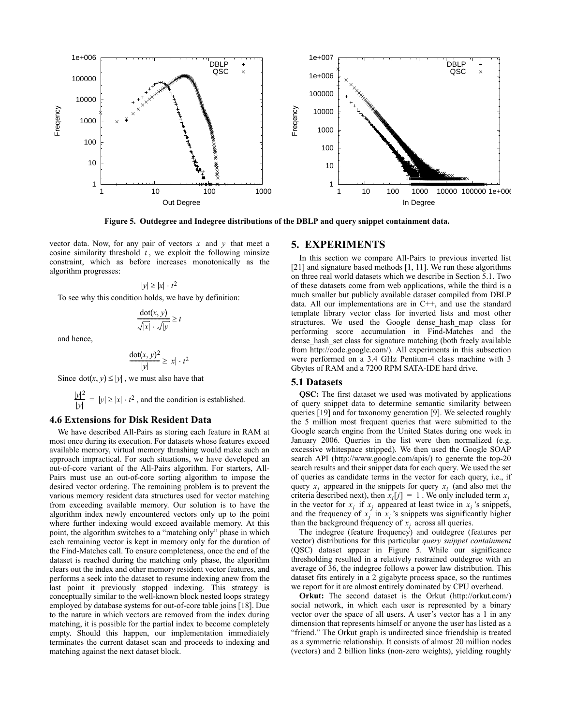

**Figure 5. Outdegree and Indegree distributions of the DBLP and query snippet containment data.**

<span id="page-5-2"></span>vector data. Now, for any pair of vectors *x* and *y* that meet a cosine similarity threshold  $t$ , we exploit the following minsize constraint, which as before increases monotonically as the algorithm progresses:

$$
y \geq |x| \cdot t^2
$$

To see why this condition holds, we have by definition:

$$
\frac{\det(x, y)}{\sqrt{|x|} \cdot \sqrt{|y|}} \ge t
$$

and hence,

$$
\frac{\det(x, y)^2}{|y|} \ge |x| \cdot t^2
$$

Since  $dot(x, y) \le |y|$ , we must also have that

$$
\frac{|y|^2}{|y|} = |y| \ge |x| \cdot t^2
$$
, and the condition is established.

# <span id="page-5-1"></span>**4.6 Extensions for Disk Resident Data**

We have described All-Pairs as storing each feature in RAM at most once during its execution. For datasets whose features exceed available memory, virtual memory thrashing would make such an approach impractical. For such situations, we have developed an out-of-core variant of the All-Pairs algorithm. For starters, All-Pairs must use an out-of-core sorting algorithm to impose the desired vector ordering. The remaining problem is to prevent the various memory resident data structures used for vector matching from exceeding available memory. Our solution is to have the algorithm index newly encountered vectors only up to the point where further indexing would exceed available memory. At this point, the algorithm switches to a "matching only" phase in which each remaining vector is kept in memory only for the duration of the Find-Matches call. To ensure completeness, once the end of the dataset is reached during the matching only phase, the algorithm clears out the index and other memory resident vector features, and performs a seek into the dataset to resume indexing anew from the last point it previously stopped indexing. This strategy is conceptually similar to the well-known block nested loops strategy employed by database systems for out-of-core table joins [\[18\].](#page-9-21) Due to the nature in which vectors are removed from the index during matching, it is possible for the partial index to become completely empty. Should this happen, our implementation immediately terminates the current dataset scan and proceeds to indexing and matching against the next dataset block.

# <span id="page-5-0"></span>**5. EXPERIMENTS**

In this section we compare All-Pairs to previous inverted list [\[21\]](#page-9-6) and signature based methods [[1](#page-9-5), [11](#page-9-19)]. We run these algorithms on three real world datasets which we describe in Section 5.1. Two of these datasets come from web applications, while the third is a much smaller but publicly available dataset compiled from DBLP data. All our implementations are in C++, and use the standard template library vector class for inverted lists and most other structures. We used the Google dense hash map class for performing score accumulation in Find-Matches and the dense hash set class for signature matching (both freely available from http://code.google.com/). All experiments in this subsection were performed on a 3.4 GHz Pentium-4 class machine with 3 Gbytes of RAM and a 7200 RPM SATA-IDE hard drive.

# **5.1 Datasets**

**QSC:** The first dataset we used was motivated by applications of query snippet data to determine semantic similarity between queries [\[19\]](#page-9-0) and for taxonomy generation [\[9\]](#page-9-3). We selected roughly the 5 million most frequent queries that were submitted to the Google search engine from the United States during one week in January 2006. Queries in the list were then normalized (e.g. excessive whitespace stripped). We then used the Google SOAP search API (http://www.google.com/apis/) to generate the top-20 search results and their snippet data for each query. We used the set of queries as candidate terms in the vector for each query, i.e., if query  $x_i$  appeared in the snippets for query  $x_i$  (and also met the criteria described next), then  $x_i[j] = 1$ . We only included term  $x_j$ in the vector for  $x_i$  if  $x_j$  appeared at least twice in  $x_i$ 's snippets, and the frequency of  $x_i$  in  $x_i$  's snippets was significantly higher than the background frequency of  $x_i$  across all queries.

The indegree (feature frequency) and outdegree (features per vector) distributions for this particular *query snippet containment* (QSC) dataset appear in [Figure 5](#page-5-2). While our significance thresholding resulted in a relatively restrained outdegree with an average of 36, the indegree follows a power law distribution. This dataset fits entirely in a 2 gigabyte process space, so the runtimes we report for it are almost entirely dominated by CPU overhead.

**Orkut:** The second dataset is the Orkut (http://orkut.com/) social network, in which each user is represented by a binary vector over the space of all users. A user's vector has a 1 in any dimension that represents himself or anyone the user has listed as a "friend." The Orkut graph is undirected since friendship is treated as a symmetric relationship. It consists of almost 20 million nodes (vectors) and 2 billion links (non-zero weights), yielding roughly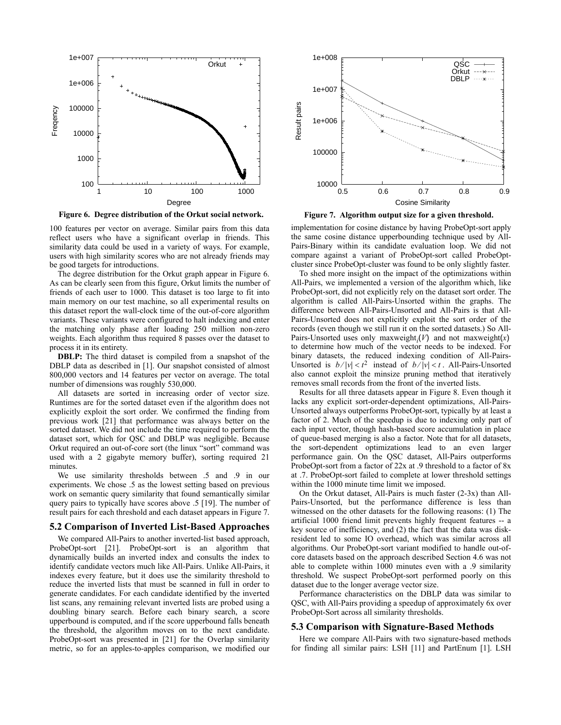

**Figure 6. Degree distribution of the Orkut social network.**

<span id="page-6-0"></span>100 features per vector on average. Similar pairs from this data reflect users who have a significant overlap in friends. This similarity data could be used in a variety of ways. For example, users with high similarity scores who are not already friends may be good targets for introductions.

The degree distribution for the Orkut graph appear in [Figure 6.](#page-6-0) As can be clearly seen from this figure, Orkut limits the number of friends of each user to 1000. This dataset is too large to fit into main memory on our test machine, so all experimental results on this dataset report the wall-clock time of the out-of-core algorithm variants. These variants were configured to halt indexing and enter the matching only phase after loading 250 million non-zero weights. Each algorithm thus required 8 passes over the dataset to process it in its entirety.

**DBLP:** The third dataset is compiled from a snapshot of the DBLP data as described in [\[1\]](#page-9-5). Our snapshot consisted of almost 800,000 vectors and 14 features per vector on average. The total number of dimensions was roughly 530,000.

All datasets are sorted in increasing order of vector size. Runtimes are for the sorted dataset even if the algorithm does not explicitly exploit the sort order. We confirmed the finding from previous work [\[21\]](#page-9-6) that performance was always better on the sorted dataset. We did not include the time required to perform the dataset sort, which for QSC and DBLP was negligible. Because Orkut required an out-of-core sort (the linux "sort" command was used with a 2 gigabyte memory buffer), sorting required 21 minutes.

We use similarity thresholds between .5 and .9 in our experiments. We chose .5 as the lowest setting based on previous work on semantic query similarity that found semantically similar query pairs to typically have scores above .5 [\[19\].](#page-9-0) The number of result pairs for each threshold and each dataset appears in [Figure 7.](#page-6-1)

## **5.2 Comparison of Inverted List-Based Approaches**

We compared All-Pairs to another inverted-list based approach, ProbeOpt-sort [\[21\].](#page-9-6) ProbeOpt-sort is an algorithm that dynamically builds an inverted index and consults the index to identify candidate vectors much like All-Pairs. Unlike All-Pairs, it indexes every feature, but it does use the similarity threshold to reduce the inverted lists that must be scanned in full in order to generate candidates. For each candidate identified by the inverted list scans, any remaining relevant inverted lists are probed using a doubling binary search. Before each binary search, a score upperbound is computed, and if the score upperbound falls beneath the threshold, the algorithm moves on to the next candidate. ProbeOpt-sort was presented in [\[21\]](#page-9-6) for the Overlap similarity metric, so for an apples-to-apples comparison, we modified our



<span id="page-6-1"></span>**Figure 7. Algorithm output size for a given threshold.**

implementation for cosine distance by having ProbeOpt-sort apply the same cosine distance upperbounding technique used by All-Pairs-Binary within its candidate evaluation loop. We did not compare against a variant of ProbeOpt-sort called ProbeOptcluster since ProbeOpt-cluster was found to be only slightly faster.

To shed more insight on the impact of the optimizations within All-Pairs, we implemented a version of the algorithm which, like ProbeOpt-sort, did not explicitly rely on the dataset sort order. The algorithm is called All-Pairs-Unsorted within the graphs. The difference between All-Pairs-Unsorted and All-Pairs is that All-Pairs-Unsorted does not explicitly exploit the sort order of the records (even though we still run it on the sorted datasets.) So All-Pairs-Unsorted uses only maxweight $_i(V)$  and not maxweight $(x)$ to determine how much of the vector needs to be indexed. For binary datasets, the reduced indexing condition of All-Pairs-Unsorted is  $b/|v| < t^2$  instead of  $b/|v| < t$ . All-Pairs-Unsorted also cannot exploit the minsize pruning method that iteratively removes small records from the front of the inverted lists.

Results for all three datasets appear in [Figure 8](#page-7-0). Even though it lacks any explicit sort-order-dependent optimizations, All-Pairs-Unsorted always outperforms ProbeOpt-sort, typically by at least a factor of 2. Much of the speedup is due to indexing only part of each input vector, though hash-based score accumulation in place of queue-based merging is also a factor. Note that for all datasets, the sort-dependent optimizations lead to an even larger performance gain. On the QSC dataset, All-Pairs outperforms ProbeOpt-sort from a factor of 22x at .9 threshold to a factor of 8x at .7. ProbeOpt-sort failed to complete at lower threshold settings within the 1000 minute time limit we imposed.

On the Orkut dataset, All-Pairs is much faster (2-3x) than All-Pairs-Unsorted, but the performance difference is less than witnessed on the other datasets for the following reasons: (1) The artificial 1000 friend limit prevents highly frequent features -- a key source of inefficiency, and (2) the fact that the data was diskresident led to some IO overhead, which was similar across all algorithms. Our ProbeOpt-sort variant modified to handle out-ofcore datasets based on the approach described [Section 4.6](#page-5-1) was not able to complete within 1000 minutes even with a .9 similarity threshold. We suspect ProbeOpt-sort performed poorly on this dataset due to the longer average vector size.

Performance characteristics on the DBLP data was similar to QSC, with All-Pairs providing a speedup of approximately 6x over ProbeOpt-Sort across all similarity thresholds.

### **5.3 Comparison with Signature-Based Methods**

Here we compare All-Pairs with two signature-based methods for finding all similar pairs: LSH [\[11\]](#page-9-19) and PartEnum [\[1\].](#page-9-5) LSH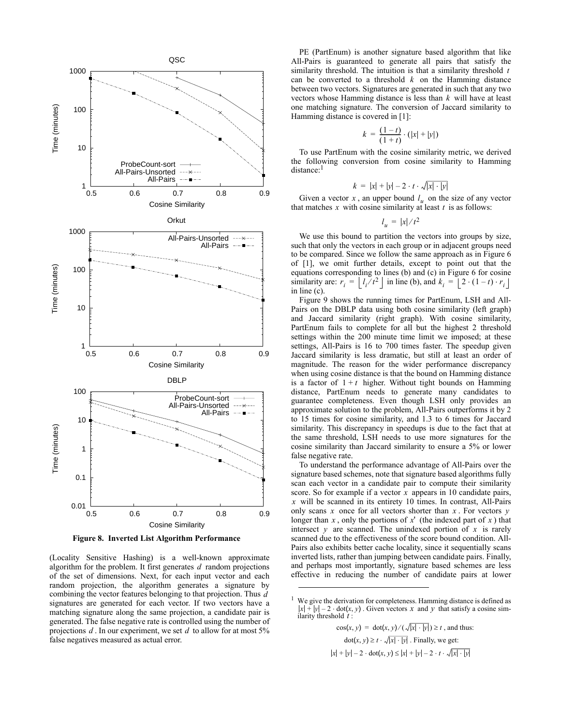

**Figure 8. Inverted List Algorithm Performance**

<span id="page-7-0"></span>(Locality Sensitive Hashing) is a well-known approximate algorithm for the problem. It first generates *d* random projections of the set of dimensions. Next, for each input vector and each random projection, the algorithm generates a signature by combining the vector features belonging to that projection. Thus *d* signatures are generated for each vector. If two vectors have a matching signature along the same projection, a candidate pair is generated. The false negative rate is controlled using the number of projections *d* . In our experiment, we set *d* to allow for at most 5% false negatives measured as actual error.

PE (PartEnum) is another signature based algorithm that like All-Pairs is guaranteed to generate all pairs that satisfy the similarity threshold. The intuition is that a similarity threshold *t* can be converted to a threshold *k* on the Hamming distance between two vectors. Signatures are generated in such that any two vectors whose Hamming distance is less than *k* will have at least one matching signature. The conversion of Jaccard similarity to Hamming distance is covered in [\[1\]](#page-9-5):

$$
k = \frac{(1-t)}{(1+t)} \cdot (|x| + |y|)
$$

To use PartEnum with the cosine similarity metric, we derived the following conversion from cosine similarity to Hamming distance:<sup>1</sup>

$$
k = |x| + |y| - 2 \cdot t \cdot \sqrt{|x| \cdot |y|}
$$

Given a vector  $x$ , an upper bound  $l_u$  on the size of any vector that matches  $x$  with cosine similarity at least  $t$  is as follows:

$$
l_u = |x|/t^2
$$

We use this bound to partition the vectors into groups by size, such that only the vectors in each group or in adjacent groups need to be compared. Since we follow the same approach as in Figure 6 of [\[1\],](#page-9-5) we omit further details, except to point out that the equations corresponding to lines (b) and (c) in Figure 6 for cosine similarity are:  $r_i = \lfloor l_i / t^2 \rfloor$  in line (b), and  $k_i = \lfloor 2 \cdot (1-t) \cdot r_i \rfloor$ in line (c).

[Figure 9](#page-8-2) shows the running times for PartEnum, LSH and All-Pairs on the DBLP data using both cosine similarity (left graph) and Jaccard similarity (right graph). With cosine similarity, PartEnum fails to complete for all but the highest 2 threshold settings within the 200 minute time limit we imposed; at these settings, All-Pairs is 16 to 700 times faster. The speedup given Jaccard similarity is less dramatic, but still at least an order of magnitude. The reason for the wider performance discrepancy when using cosine distance is that the bound on Hamming distance is a factor of  $1 + t$  higher. Without tight bounds on Hamming distance, PartEnum needs to generate many candidates to guarantee completeness. Even though LSH only provides an approximate solution to the problem, All-Pairs outperforms it by 2 to 15 times for cosine similarity, and 1.3 to 6 times for Jaccard similarity. This discrepancy in speedups is due to the fact that at the same threshold, LSH needs to use more signatures for the cosine similarity than Jaccard similarity to ensure a 5% or lower false negative rate.

To understand the performance advantage of All-Pairs over the signature based schemes, note that signature based algorithms fully scan each vector in a candidate pair to compute their similarity score. So for example if a vector *x* appears in 10 candidate pairs, *x* will be scanned in its entirety 10 times. In contrast, All-Pairs only scans *x* once for all vectors shorter than *x* . For vectors *y* longer than  $x$ , only the portions of  $x'$  (the indexed part of  $x$ ) that intersect  $y$  are scanned. The unindexed portion of  $x$  is rarely scanned due to the effectiveness of the score bound condition. All-Pairs also exhibits better cache locality, since it sequentially scans inverted lists, rather than jumping between candidate pairs. Finally, and perhaps most importantly, signature based schemes are less effective in reducing the number of candidate pairs at lower

 $\cos(x, y) = \frac{\det(x, y)}{\det(x) \cdot y} \ge t$ , and thus:  $dot(x, y) \ge t \cdot \sqrt{|x| \cdot |y|}$ . Finally, we get:  $|x| + |y| - 2 \cdot \text{dot}(x, y) \le |x| + |y| - 2 \cdot t \cdot \sqrt{|x| \cdot |y|}$ 

We give the derivation for completeness. Hamming distance is defined as  $|x| + |y| - 2 \cdot \text{dot}(x, y)$ . Given vectors *x* and *y* that satisfy a cosine similarity threshold *t* :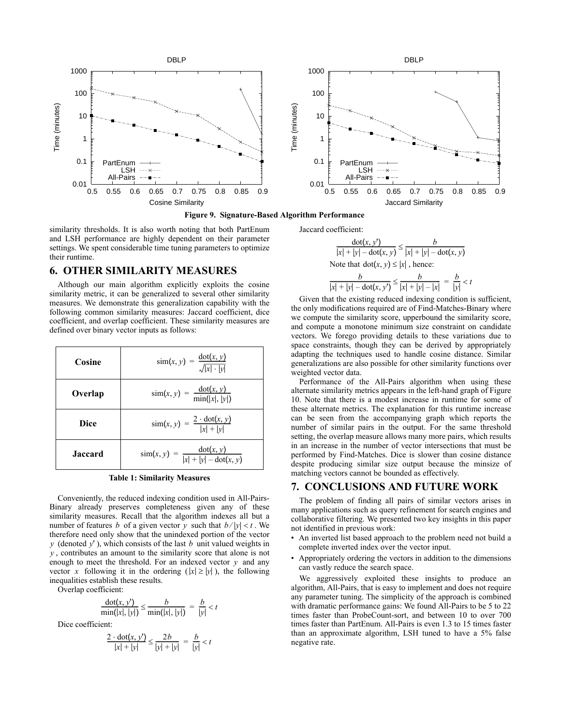

**Figure 9. Signature-Based Algorithm Performance**

Jaccard coefficient:

<span id="page-8-2"></span>similarity thresholds. It is also worth noting that both PartEnum and LSH performance are highly dependent on their parameter settings. We spent considerable time tuning parameters to optimize their runtime.

# <span id="page-8-0"></span>**6. OTHER SIMILARITY MEASURES**

Although our main algorithm explicitly exploits the cosine similarity metric, it can be generalized to several other similarity measures. We demonstrate this generalization capability with the following common similarity measures: Jaccard coefficient, dice coefficient, and overlap coefficient. These similarity measures are defined over binary vector inputs as follows:

| Cosine         | $\text{sim}(x, y) = \frac{\text{dot}(x, y)}{\sqrt{ x  \cdot  y }}$         |  |
|----------------|----------------------------------------------------------------------------|--|
| Overlap        | $\text{sim}(x, y) = \frac{\text{dot}(x, y)}{\text{min}( x ,  y )}$         |  |
| Dice           | $\text{sim}(x, y) = \frac{2 \cdot \text{dot}(x, y)}{ x  +  y }$            |  |
| <b>Jaccard</b> | $\text{sim}(x, y) = \frac{\text{dot}(x, y)}{ x  +  y  - \text{dot}(x, y)}$ |  |

|  |  | <b>Table 1: Similarity Measures</b> |  |
|--|--|-------------------------------------|--|
|--|--|-------------------------------------|--|

Conveniently, the reduced indexing condition used in All-Pairs-Binary already preserves completeness given any of these similarity measures. Recall that the algorithm indexes all but a number of features *b* of a given vector *y* such that  $b/|y| < t$ . We therefore need only show that the unindexed portion of the vector *y* (denoted *y*' ), which consists of the last *b* unit valued weights in *y* , contributes an amount to the similarity score that alone is not enough to meet the threshold. For an indexed vector *y* and any vector *x* following it in the ordering  $(|x| \ge |y|)$ , the following inequalities establish these results.

Overlap coefficient:

$$
\frac{\text{dot}(x, y')}{\min(|x|, |y|)} \le \frac{b}{\min(|x|, |y|)} = \frac{b}{|y|} < t
$$

Dice coefficient:

$$
\frac{2 \cdot \text{dot}(x, y')}{|x| + |y|} \le \frac{2b}{|y| + |y|} = \frac{b}{|y|} < t
$$

 $dot(x, y')$  $\frac{\operatorname{dot}(x, y')}{|x| + |y| - \operatorname{dot}(x, y)} \le \frac{b}{|x| + |y| - \operatorname{dot}(x, y)}$ Note that  $dot(x, y) \le |x|$ , hence:  $\frac{b}{|x| + |y| - \text{dot}(x, y')} \le \frac{b}{|x| + |y| - |x|} = \frac{b}{|y|} < t$ 

Given that the existing reduced indexing condition is sufficient, the only modifications required are of Find-Matches-Binary where we compute the similarity score, upperbound the similarity score, and compute a monotone minimum size constraint on candidate vectors. We forego providing details to these variations due to space constraints, though they can be derived by appropriately adapting the techniques used to handle cosine distance. Similar generalizations are also possible for other similarity functions over weighted vector data.

Performance of the All-Pairs algorithm when using these alternate similarity metrics appears in the left-hand graph of [Figure](#page-9-22)  [10.](#page-9-22) Note that there is a modest increase in runtime for some of these alternate metrics. The explanation for this runtime increase can be seen from the accompanying graph which reports the number of similar pairs in the output. For the same threshold setting, the overlap measure allows many more pairs, which results in an increase in the number of vector intersections that must be performed by Find-Matches. Dice is slower than cosine distance despite producing similar size output because the minsize of matching vectors cannot be bounded as effectively.

### <span id="page-8-1"></span>**7. CONCLUSIONS AND FUTURE WORK**

The problem of finding all pairs of similar vectors arises in many applications such as query refinement for search engines and collaborative filtering. We presented two key insights in this paper not identified in previous work:

- An inverted list based approach to the problem need not build a complete inverted index over the vector input.
- Appropriately ordering the vectors in addition to the dimensions can vastly reduce the search space.

We aggressively exploited these insights to produce an algorithm, All-Pairs, that is easy to implement and does not require any parameter tuning. The simplicity of the approach is combined with dramatic performance gains: We found All-Pairs to be 5 to 22 times faster than ProbeCount-sort, and between 10 to over 700 times faster than PartEnum. All-Pairs is even 1.3 to 15 times faster than an approximate algorithm, LSH tuned to have a 5% false negative rate.